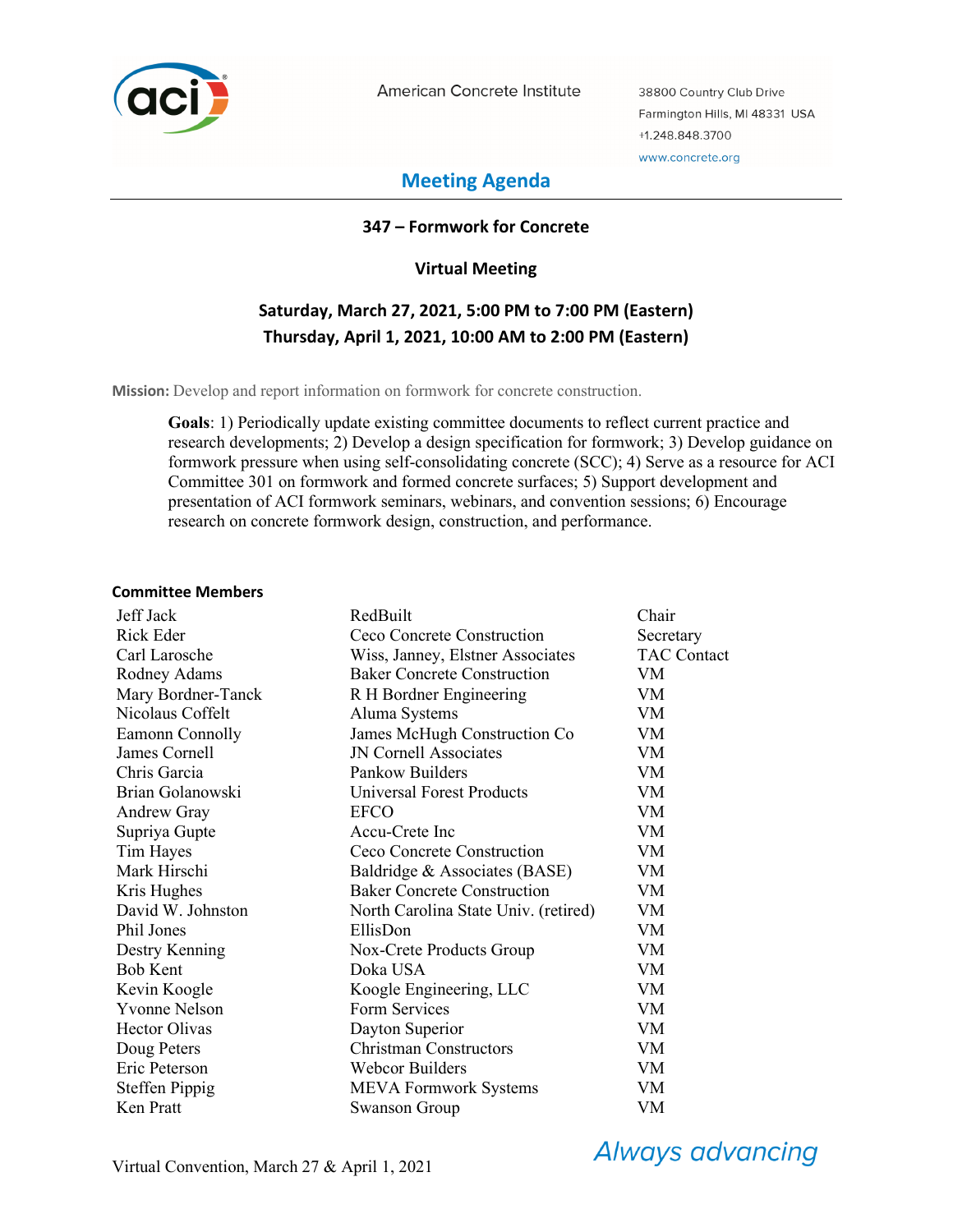

American Concrete Institute

38800 Country Club Drive Farmington Hills, MI 48331 USA +1.248.848.3700 www.concrete.org

# **Meeting Agenda**

#### **347 – Formwork for Concrete**

#### **Virtual Meeting**

# **Saturday, March 27, 2021, 5:00 PM to 7:00 PM (Eastern) Thursday, April 1, 2021, 10:00 AM to 2:00 PM (Eastern)**

**Mission:** Develop and report information on formwork for concrete construction.

**Goals**: 1) Periodically update existing committee documents to reflect current practice and research developments; 2) Develop a design specification for formwork; 3) Develop guidance on formwork pressure when using self-consolidating concrete (SCC); 4) Serve as a resource for ACI Committee 301 on formwork and formed concrete surfaces; 5) Support development and presentation of ACI formwork seminars, webinars, and convention sessions; 6) Encourage research on concrete formwork design, construction, and performance.

#### **Committee Members**

| Jeff Jack             | RedBuilt                             | Chair              |
|-----------------------|--------------------------------------|--------------------|
| Rick Eder             | Ceco Concrete Construction           | Secretary          |
| Carl Larosche         | Wiss, Janney, Elstner Associates     | <b>TAC Contact</b> |
| Rodney Adams          | <b>Baker Concrete Construction</b>   | VM.                |
| Mary Bordner-Tanck    | R H Bordner Engineering              | VM.                |
| Nicolaus Coffelt      | Aluma Systems                        | <b>VM</b>          |
| Eamonn Connolly       | James McHugh Construction Co         | VM                 |
| James Cornell         | JN Cornell Associates                | <b>VM</b>          |
| Chris Garcia          | Pankow Builders                      | VM                 |
| Brian Golanowski      | <b>Universal Forest Products</b>     | VM                 |
| <b>Andrew Gray</b>    | <b>EFCO</b>                          | VM                 |
| Supriya Gupte         | Accu-Crete Inc                       | VM                 |
| Tim Hayes             | Ceco Concrete Construction           | VM                 |
| Mark Hirschi          | Baldridge & Associates (BASE)        | VM                 |
| Kris Hughes           | <b>Baker Concrete Construction</b>   | <b>VM</b>          |
| David W. Johnston     | North Carolina State Univ. (retired) | <b>VM</b>          |
| Phil Jones            | EllisDon                             | VM                 |
| Destry Kenning        | Nox-Crete Products Group             | VM                 |
| <b>Bob Kent</b>       | Doka USA                             | VM                 |
| Kevin Koogle          | Koogle Engineering, LLC              | VM                 |
| <b>Yvonne Nelson</b>  | Form Services                        | VM                 |
| <b>Hector Olivas</b>  | Dayton Superior                      | VM                 |
| Doug Peters           | <b>Christman Constructors</b>        | <b>VM</b>          |
| Eric Peterson         | <b>Webcor Builders</b>               | VM                 |
| <b>Steffen Pippig</b> | <b>MEVA Formwork Systems</b>         | VM                 |
| Ken Pratt             | <b>Swanson Group</b>                 | VM                 |

**Always advancing**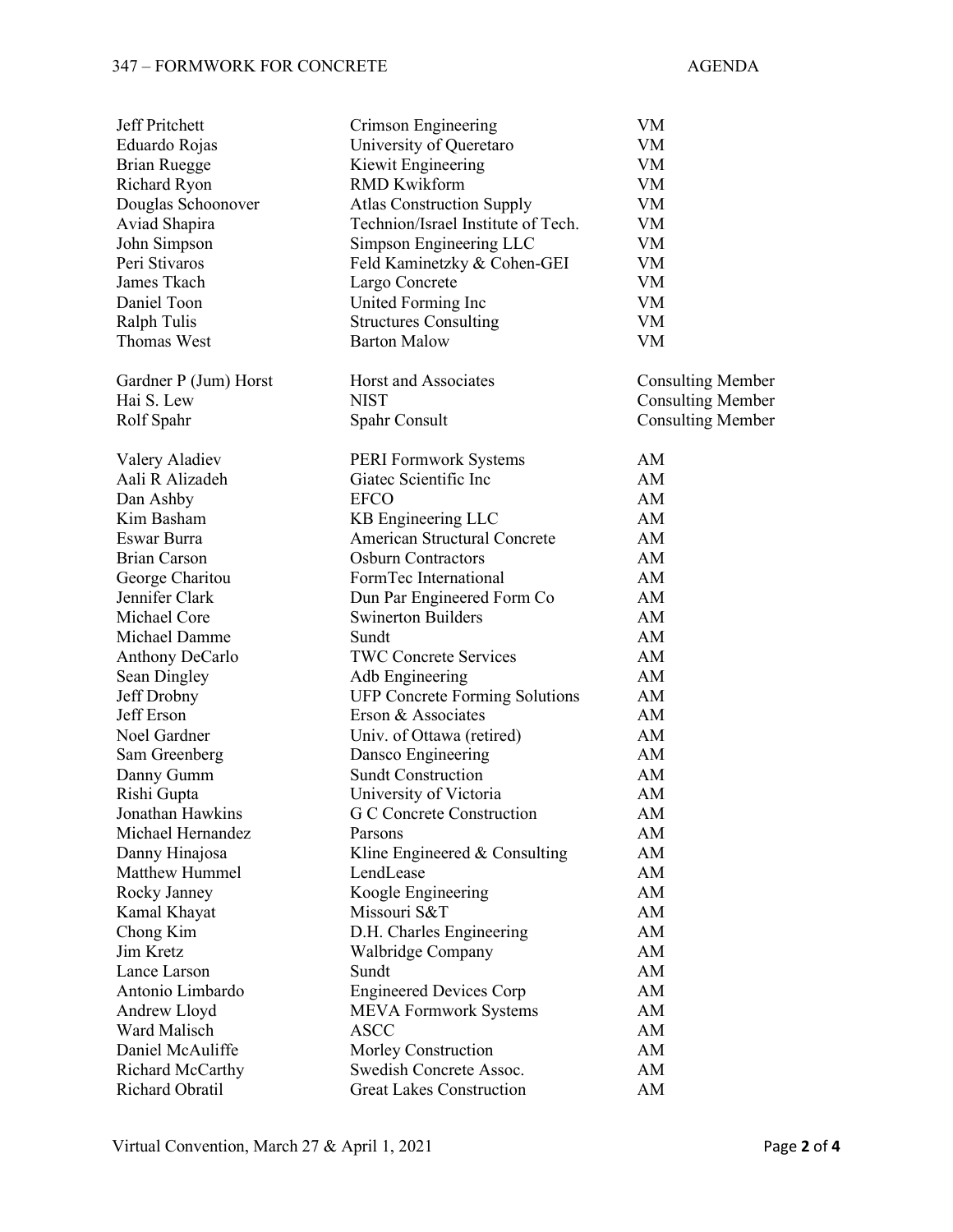#### 347 – FORMWORK FOR CONCRETE AGENDA

| <b>Jeff Pritchett</b> | Crimson Engineering                   | VM                       |
|-----------------------|---------------------------------------|--------------------------|
| Eduardo Rojas         | University of Queretaro               | VM                       |
| <b>Brian Ruegge</b>   | Kiewit Engineering                    | ${\it VM}$               |
| Richard Ryon          | <b>RMD Kwikform</b>                   | VM                       |
| Douglas Schoonover    | <b>Atlas Construction Supply</b>      | <b>VM</b>                |
| Aviad Shapira         | Technion/Israel Institute of Tech.    | VM                       |
| John Simpson          | Simpson Engineering LLC               | VM                       |
| Peri Stivaros         | Feld Kaminetzky & Cohen-GEI           | VM                       |
| James Tkach           | Largo Concrete                        | VM                       |
| Daniel Toon           | United Forming Inc                    | VM                       |
| Ralph Tulis           | <b>Structures Consulting</b>          | VM                       |
| <b>Thomas West</b>    | <b>Barton Malow</b>                   | VM                       |
|                       |                                       |                          |
| Gardner P (Jum) Horst | Horst and Associates                  | <b>Consulting Member</b> |
| Hai S. Lew            | <b>NIST</b>                           | <b>Consulting Member</b> |
| Rolf Spahr            | Spahr Consult                         | <b>Consulting Member</b> |
|                       |                                       |                          |
| Valery Aladiev        | PERI Formwork Systems                 | AM                       |
| Aali R Alizadeh       | Giatec Scientific Inc                 | AM                       |
| Dan Ashby             | <b>EFCO</b>                           | AM                       |
| Kim Basham            | KB Engineering LLC                    | AM                       |
| Eswar Burra           | <b>American Structural Concrete</b>   | AM                       |
| <b>Brian Carson</b>   | <b>Osburn Contractors</b>             | AM                       |
| George Charitou       | FormTec International                 | AM                       |
| Jennifer Clark        | Dun Par Engineered Form Co            | AM                       |
| Michael Core          | <b>Swinerton Builders</b>             | AM                       |
| Michael Damme         | Sundt                                 | AM                       |
| Anthony DeCarlo       | <b>TWC Concrete Services</b>          | AM                       |
| Sean Dingley          | Adb Engineering                       | AM                       |
| Jeff Drobny           | <b>UFP Concrete Forming Solutions</b> | AM                       |
| Jeff Erson            | Erson & Associates                    | AM                       |
| Noel Gardner          | Univ. of Ottawa (retired)             | AM                       |
| Sam Greenberg         | Dansco Engineering                    | AM                       |
| Danny Gumm            | <b>Sundt Construction</b>             | AM                       |
| Rishi Gupta           | University of Victoria                | AM                       |
| Jonathan Hawkins      | G C Concrete Construction             | AM                       |
| Michael Hernandez     | Parsons                               | AM                       |
| Danny Hinajosa        | Kline Engineered & Consulting         | AM                       |
| Matthew Hummel        | LendLease                             | AM                       |
| Rocky Janney          | Koogle Engineering                    | AM                       |
| Kamal Khayat          | Missouri S&T                          | AM                       |
| Chong Kim             | D.H. Charles Engineering              | AM                       |
| Jim Kretz             | Walbridge Company                     | AM                       |
| Lance Larson          | Sundt                                 | AM                       |
| Antonio Limbardo      | <b>Engineered Devices Corp</b>        | AM                       |
| Andrew Lloyd          | <b>MEVA Formwork Systems</b>          | AM                       |
| Ward Malisch          | <b>ASCC</b>                           | AM                       |
| Daniel McAuliffe      | Morley Construction                   | AM                       |
| Richard McCarthy      | Swedish Concrete Assoc.               | AM                       |
| Richard Obratil       | <b>Great Lakes Construction</b>       | AM                       |
|                       |                                       |                          |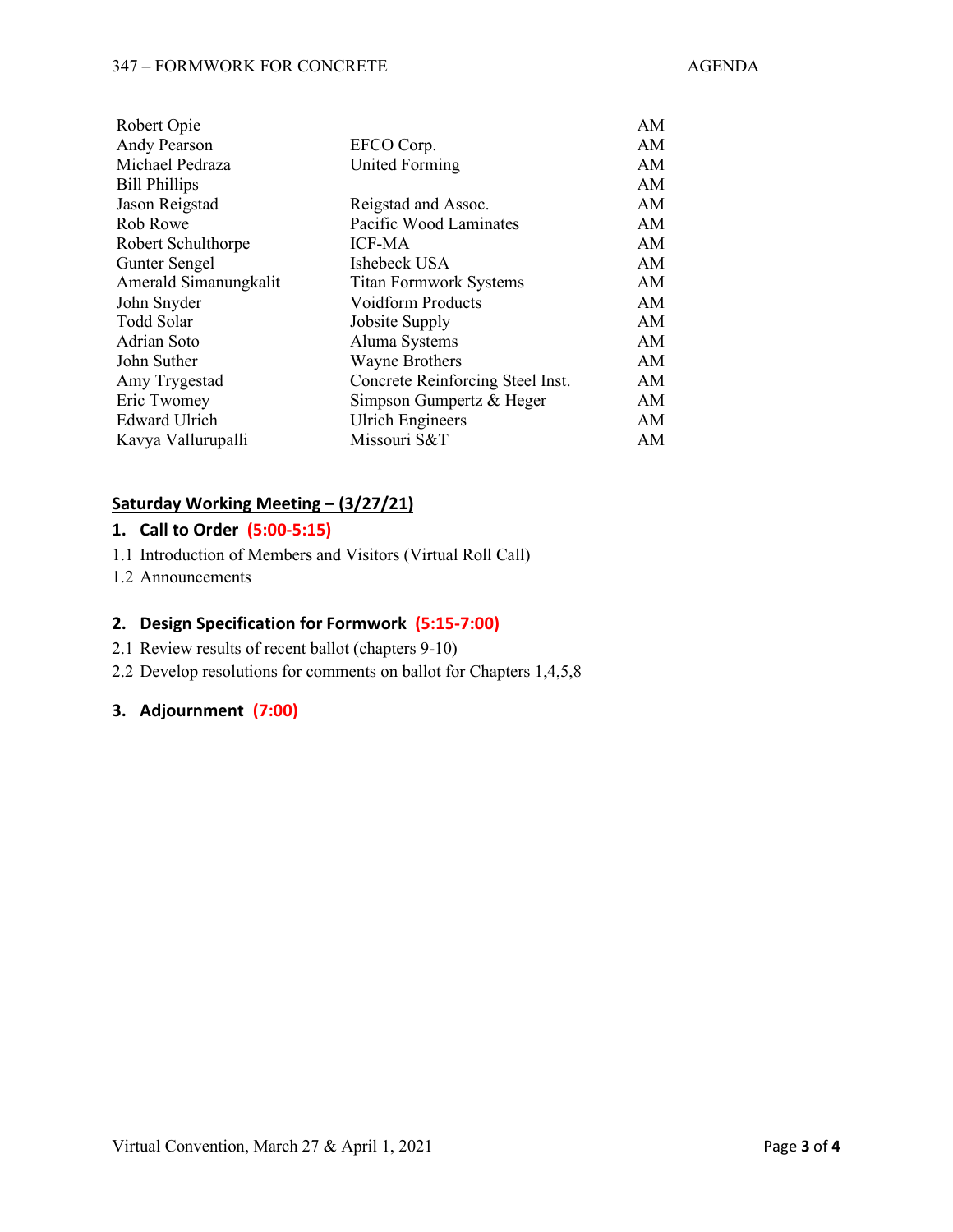#### 347 – FORMWORK FOR CONCRETE AGENDA

| Robert Opie           |                                  | AM |
|-----------------------|----------------------------------|----|
| Andy Pearson          | EFCO Corp.                       | AM |
| Michael Pedraza       | <b>United Forming</b>            | AM |
| <b>Bill Phillips</b>  |                                  | AM |
| Jason Reigstad        | Reigstad and Assoc.              | AM |
| Rob Rowe              | Pacific Wood Laminates           | AM |
| Robert Schulthorpe    | <b>ICF-MA</b>                    | AM |
| Gunter Sengel         | Ishebeck USA                     | AM |
| Amerald Simanungkalit | <b>Titan Formwork Systems</b>    | AM |
| John Snyder           | <b>Voidform Products</b>         | AM |
| Todd Solar            | Jobsite Supply                   | AM |
| Adrian Soto           | Aluma Systems                    | AM |
| John Suther           | <b>Wayne Brothers</b>            | AM |
| Amy Trygestad         | Concrete Reinforcing Steel Inst. | AM |
| Eric Twomey           | Simpson Gumpertz & Heger         | AM |
| <b>Edward Ulrich</b>  | <b>Ulrich Engineers</b>          | AM |
| Kavya Vallurupalli    | Missouri S&T                     | AM |
|                       |                                  |    |

# **Saturday Working Meeting – (3/27/21)**

#### **1. Call to Order (5:00-5:15)**

- 1.1 Introduction of Members and Visitors (Virtual Roll Call)
- 1.2 Announcements

#### **2. Design Specification for Formwork (5:15-7:00)**

- 2.1 Review results of recent ballot (chapters 9-10)
- 2.2 Develop resolutions for comments on ballot for Chapters 1,4,5,8

## **3. Adjournment (7:00)**